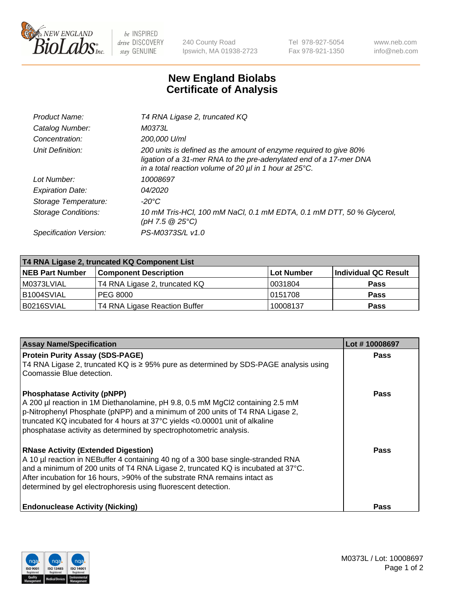

 $be$  INSPIRED drive DISCOVERY stay GENUINE

240 County Road Ipswich, MA 01938-2723 Tel 978-927-5054 Fax 978-921-1350 www.neb.com info@neb.com

## **New England Biolabs Certificate of Analysis**

| Product Name:              | T4 RNA Ligase 2, truncated KQ                                                                                                                                                                                    |
|----------------------------|------------------------------------------------------------------------------------------------------------------------------------------------------------------------------------------------------------------|
| Catalog Number:            | M0373L                                                                                                                                                                                                           |
| Concentration:             | 200,000 U/ml                                                                                                                                                                                                     |
| Unit Definition:           | 200 units is defined as the amount of enzyme required to give 80%<br>ligation of a 31-mer RNA to the pre-adenylated end of a 17-mer DNA<br>in a total reaction volume of 20 $\mu$ l in 1 hour at 25 $\degree$ C. |
| Lot Number:                | 10008697                                                                                                                                                                                                         |
| <b>Expiration Date:</b>    | 04/2020                                                                                                                                                                                                          |
| Storage Temperature:       | $-20^{\circ}$ C                                                                                                                                                                                                  |
| <b>Storage Conditions:</b> | 10 mM Tris-HCl, 100 mM NaCl, 0.1 mM EDTA, 0.1 mM DTT, 50 % Glycerol,<br>(pH 7.5 @ 25°C)                                                                                                                          |
| Specification Version:     | PS-M0373S/L v1.0                                                                                                                                                                                                 |

| T4 RNA Ligase 2, truncated KQ Component List |                               |            |                      |  |
|----------------------------------------------|-------------------------------|------------|----------------------|--|
| <b>NEB Part Number</b>                       | <b>Component Description</b>  | Lot Number | Individual QC Result |  |
| M0373LVIAL                                   | T4 RNA Ligase 2, truncated KQ | 10031804   | <b>Pass</b>          |  |
| IB1004SVIAL                                  | <b>PEG 8000</b>               | 10151708   | <b>Pass</b>          |  |
| B0216SVIAL                                   | T4 RNA Ligase Reaction Buffer | 10008137   | <b>Pass</b>          |  |

| <b>Assay Name/Specification</b>                                                                                                                                                                                                                                                                                                                                                | Lot #10008697 |
|--------------------------------------------------------------------------------------------------------------------------------------------------------------------------------------------------------------------------------------------------------------------------------------------------------------------------------------------------------------------------------|---------------|
| <b>Protein Purity Assay (SDS-PAGE)</b><br>T4 RNA Ligase 2, truncated KQ is ≥ 95% pure as determined by SDS-PAGE analysis using<br>l Coomassie Blue detection.                                                                                                                                                                                                                  | <b>Pass</b>   |
| <b>Phosphatase Activity (pNPP)</b><br>A 200 µl reaction in 1M Diethanolamine, pH 9.8, 0.5 mM MgCl2 containing 2.5 mM<br>$\vert$ p-Nitrophenyl Phosphate (pNPP) and a minimum of 200 units of T4 RNA Ligase 2,<br>truncated KQ incubated for 4 hours at 37°C yields <0.00001 unit of alkaline<br>phosphatase activity as determined by spectrophotometric analysis.             | Pass          |
| <b>RNase Activity (Extended Digestion)</b><br>A 10 µl reaction in NEBuffer 4 containing 40 ng of a 300 base single-stranded RNA<br>and a minimum of 200 units of T4 RNA Ligase 2, truncated KQ is incubated at $37^{\circ}$ C.<br>After incubation for 16 hours, >90% of the substrate RNA remains intact as<br>determined by gel electrophoresis using fluorescent detection. | Pass          |
| <b>Endonuclease Activity (Nicking)</b>                                                                                                                                                                                                                                                                                                                                         | <b>Pass</b>   |